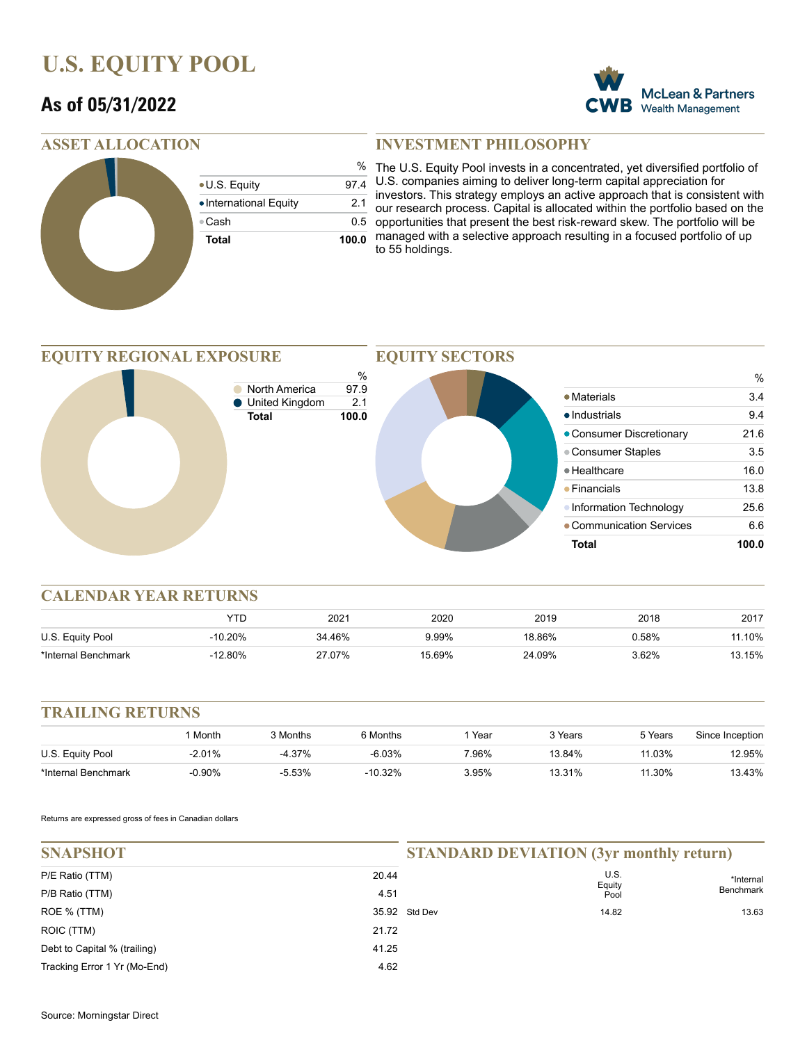## **U.S. EQUITY POOL**

### **As of 05/31/2022**



|                        | %     |
|------------------------|-------|
| • U.S. Equity          | 97.4  |
| • International Equity | 2.1   |
| ⊕Cash                  | 0.5   |
| <b>Total</b>           | 100.0 |
|                        |       |

### **INVESTMENT PHILOSOPHY**

% The U.S. Equity Pool invests in a concentrated, yet diversified portfolio of U.S. companies aiming to deliver long-term capital appreciation for investors. This strategy employs an active approach that is consistent with our research process. Capital is allocated within the portfolio based on the 5 opportunities that present the best risk-reward skew. The portfolio will be managed with a selective approach resulting in a focused portfolio of up to 55 holdings.

%

**McLean & Partners** Wealth Management

#### **EQUITY REGIONAL EXPOSURE** % **North America** 97.9 ● United Kingdom 2.1 **Total 100.0 EQUITY SECTORS** • Materials 3.4 ● Industrials 9.4 • Consumer Discretionary 21.6 • Consumer Staples 3.5 ● Healthcare 16.0 Financials 13.8 • Information Technology 25.6 Communication Services 6.6 **Total 100.0**

#### **CALENDAR YEAR RETURNS**

|                     | YTL       | 2021   | 2020   | 2019   | 2018  | 2017  |
|---------------------|-----------|--------|--------|--------|-------|-------|
| U.S. Equity Pool    | $-10.20%$ | 34.46% | 9.99%  | 18.86% | ን.58% | .10%  |
| *Internal Benchmark | $-12.80%$ | 27.07% | 15.69% | 24.09% | 3.62% | 3.15% |

#### **TRAILING RETURNS**

|                     | Month     | 3 Months | 6 Months  | Year     | 3 Years | 5 Years | Since Inception |
|---------------------|-----------|----------|-----------|----------|---------|---------|-----------------|
| U.S. Equity Pool    | $-2.01%$  | -4.37%   | $-6.03%$  | 7.96%    | 13.84%  | 11.03%  | 2.95%           |
| *Internal Benchmark | $-0.90\%$ | $-5.53%$ | $-10.32%$ | $3.95\%$ | 13.31%  | 11.30%  | 13.43%          |

Returns are expressed gross of fees in Canadian dollars

| <b>SNAPSHOT</b>              |       | <b>STANDARD DEVIATION (3yr monthly return)</b> |                             |           |  |
|------------------------------|-------|------------------------------------------------|-----------------------------|-----------|--|
| P/E Ratio (TTM)              | 20.44 |                                                | U.S.<br>*Internal<br>Equity |           |  |
| P/B Ratio (TTM)              | 4.51  |                                                | Pool                        | Benchmark |  |
| ROE % (TTM)                  |       | 35.92 Std Dev                                  | 14.82                       | 13.63     |  |
| ROIC (TTM)                   | 21.72 |                                                |                             |           |  |
| Debt to Capital % (trailing) | 41.25 |                                                |                             |           |  |
| Tracking Error 1 Yr (Mo-End) | 4.62  |                                                |                             |           |  |